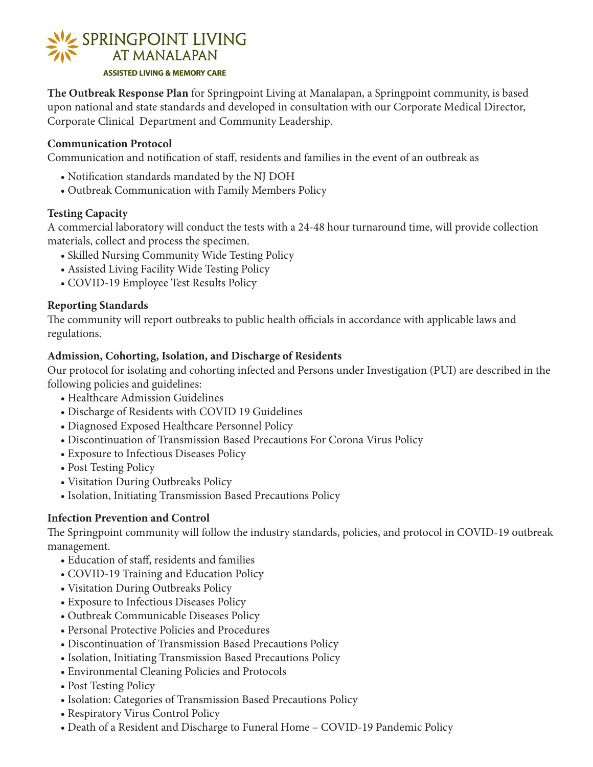

**The Outbreak Response Plan** for Springpoint Living at Manalapan, a Springpoint community, is based upon national and state standards and developed in consultation with our Corporate Medical Director, Corporate Clinical Department and Community Leadership.

# **Communication Protocol**

Communication and notification of staff, residents and families in the event of an outbreak as

- Notification standards mandated by the NJ DOH
- Outbreak Communication with Family Members Policy

#### **Testing Capacity**

A commercial laboratory will conduct the tests with a 24-48 hour turnaround time, will provide collection materials, collect and process the specimen.

- Skilled Nursing Community Wide Testing Policy
- Assisted Living Facility Wide Testing Policy
- COVID-19 Employee Test Results Policy

## **Reporting Standards**

The community will report outbreaks to public health officials in accordance with applicable laws and regulations.

#### **Admission, Cohorting, Isolation, and Discharge of Residents**

Our protocol for isolating and cohorting infected and Persons under Investigation (PUI) are described in the following policies and guidelines:

- Healthcare Admission Guidelines
- Discharge of Residents with COVID 19 Guidelines
- Diagnosed Exposed Healthcare Personnel Policy
- Discontinuation of Transmission Based Precautions For Corona Virus Policy
- Exposure to Infectious Diseases Policy
- Post Testing Policy
- Visitation During Outbreaks Policy
- Isolation, Initiating Transmission Based Precautions Policy

## **Infection Prevention and Control**

The Springpoint community will follow the industry standards, policies, and protocol in COVID-19 outbreak management.

- Education of staff, residents and families
- COVID-19 Training and Education Policy
- Visitation During Outbreaks Policy
- Exposure to Infectious Diseases Policy
- Outbreak Communicable Diseases Policy
- Personal Protective Policies and Procedures
- Discontinuation of Transmission Based Precautions Policy
- Isolation, Initiating Transmission Based Precautions Policy
- Environmental Cleaning Policies and Protocols
- Post Testing Policy
- Isolation: Categories of Transmission Based Precautions Policy
- Respiratory Virus Control Policy
- Death of a Resident and Discharge to Funeral Home COVID-19 Pandemic Policy